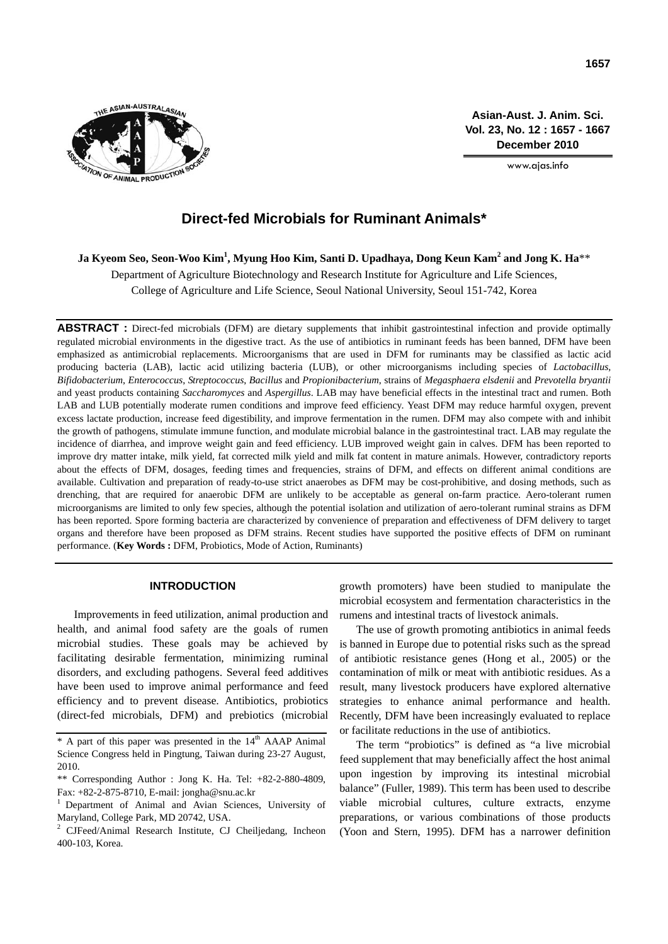

**Asian-Aust. J. Anim. Sci. Vol. 23, No. 12 : 1657 - 1667 December 2010**

www.ajas.info

# **Direct-fed Microbials for Ruminant Animals\***

**Ja Kyeom Seo, Seon-Woo Kim1 , Myung Hoo Kim, Santi D. Upadhaya, Dong Keun Kam2 and Jong K. Ha**\*\*

Department of Agriculture Biotechnology and Research Institute for Agriculture and Life Sciences, College of Agriculture and Life Science, Seoul National University, Seoul 151-742, Korea

**ABSTRACT :** Direct-fed microbials (DFM) are dietary supplements that inhibit gastrointestinal infection and provide optimally regulated microbial environments in the digestive tract. As the use of antibiotics in ruminant feeds has been banned, DFM have been emphasized as antimicrobial replacements. Microorganisms that are used in DFM for ruminants may be classified as lactic acid producing bacteria (LAB), lactic acid utilizing bacteria (LUB), or other microorganisms including species of *Lactobacillus, Bifidobacterium*, *Enterococcus*, *Streptococcus*, *Bacillus* and *Propionibacterium*, strains of *Megasphaera elsdenii* and *Prevotella bryantii*  and yeast products containing *Saccharomyces* and *Aspergillus*. LAB may have beneficial effects in the intestinal tract and rumen. Both LAB and LUB potentially moderate rumen conditions and improve feed efficiency. Yeast DFM may reduce harmful oxygen, prevent excess lactate production, increase feed digestibility, and improve fermentation in the rumen. DFM may also compete with and inhibit the growth of pathogens, stimulate immune function, and modulate microbial balance in the gastrointestinal tract. LAB may regulate the incidence of diarrhea, and improve weight gain and feed efficiency. LUB improved weight gain in calves. DFM has been reported to improve dry matter intake, milk yield, fat corrected milk yield and milk fat content in mature animals. However, contradictory reports about the effects of DFM, dosages, feeding times and frequencies, strains of DFM, and effects on different animal conditions are available. Cultivation and preparation of ready-to-use strict anaerobes as DFM may be cost-prohibitive, and dosing methods, such as drenching, that are required for anaerobic DFM are unlikely to be acceptable as general on-farm practice. Aero-tolerant rumen microorganisms are limited to only few species, although the potential isolation and utilization of aero-tolerant ruminal strains as DFM has been reported. Spore forming bacteria are characterized by convenience of preparation and effectiveness of DFM delivery to target organs and therefore have been proposed as DFM strains. Recent studies have supported the positive effects of DFM on ruminant performance. (**Key Words :** DFM, Probiotics, Mode of Action, Ruminants)

# **INTRODUCTION**

Improvements in feed utilization, animal production and health, and animal food safety are the goals of rumen microbial studies. These goals may be achieved by facilitating desirable fermentation, minimizing ruminal disorders, and excluding pathogens. Several feed additives have been used to improve animal performance and feed efficiency and to prevent disease. Antibiotics, probiotics (direct-fed microbials, DFM) and prebiotics (microbial growth promoters) have been studied to manipulate the microbial ecosystem and fermentation characteristics in the rumens and intestinal tracts of livestock animals.

The use of growth promoting antibiotics in animal feeds is banned in Europe due to potential risks such as the spread of antibiotic resistance genes (Hong et al., 2005) or the contamination of milk or meat with antibiotic residues. As a result, many livestock producers have explored alternative strategies to enhance animal performance and health. Recently, DFM have been increasingly evaluated to replace or facilitate reductions in the use of antibiotics.

The term "probiotics" is defined as "a live microbial feed supplement that may beneficially affect the host animal upon ingestion by improving its intestinal microbial balance" (Fuller, 1989). This term has been used to describe viable microbial cultures, culture extracts, enzyme preparations, or various combinations of those products (Yoon and Stern, 1995). DFM has a narrower definition

<sup>\*</sup> A part of this paper was presented in the 14<sup>th</sup> AAAP Animal Science Congress held in Pingtung, Taiwan during 23-27 August, 2010.

<sup>\*\*</sup> Corresponding Author : Jong K. Ha. Tel: +82-2-880-4809, Fax: +82-2-875-8710, E-mail: jongha@snu.ac.kr

<sup>1</sup> Department of Animal and Avian Sciences, University of Maryland, College Park, MD 20742, USA.

<sup>2</sup> CJFeed/Animal Research Institute, CJ Cheiljedang, Incheon 400-103, Korea.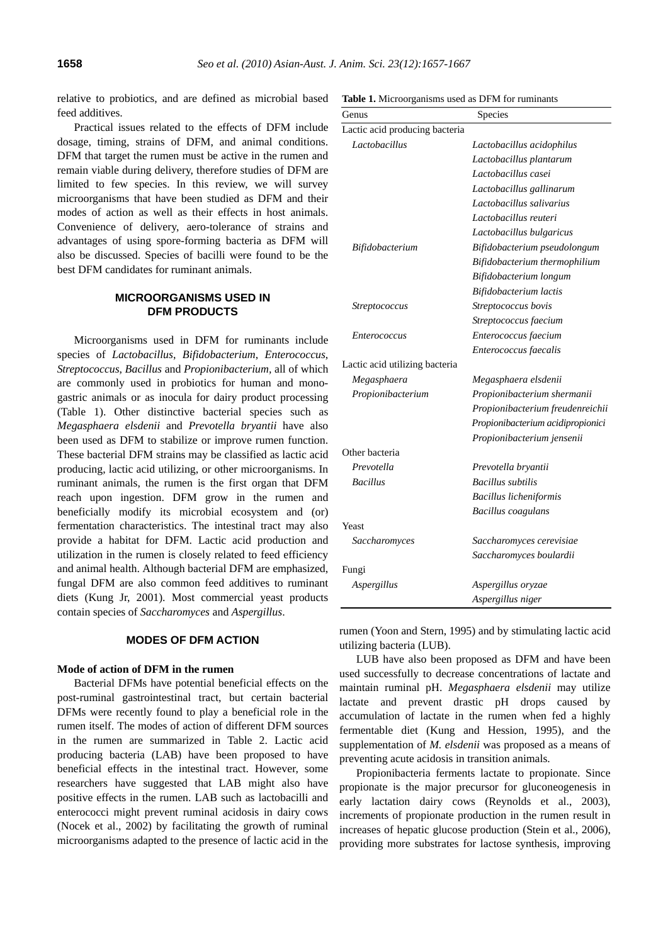relative to probiotics, and are defined as microbial based feed additives.

Practical issues related to the effects of DFM include dosage, timing, strains of DFM, and animal conditions. DFM that target the rumen must be active in the rumen and remain viable during delivery, therefore studies of DFM are limited to few species. In this review, we will survey microorganisms that have been studied as DFM and their modes of action as well as their effects in host animals. Convenience of delivery, aero-tolerance of strains and advantages of using spore-forming bacteria as DFM will also be discussed. Species of bacilli were found to be the best DFM candidates for ruminant animals.

# **MICROORGANISMS USED IN DFM PRODUCTS**

Microorganisms used in DFM for ruminants include species of *Lactobacillus*, *Bifidobacterium*, *Enterococcus*, *Streptococcus*, *Bacillus* and *Propionibacterium,* all of which are commonly used in probiotics for human and monogastric animals or as inocula for dairy product processing (Table 1). Other distinctive bacterial species such as *Megasphaera elsdenii* and *Prevotella bryantii* have also been used as DFM to stabilize or improve rumen function. These bacterial DFM strains may be classified as lactic acid producing, lactic acid utilizing, or other microorganisms. In ruminant animals, the rumen is the first organ that DFM reach upon ingestion. DFM grow in the rumen and beneficially modify its microbial ecosystem and (or) fermentation characteristics. The intestinal tract may also provide a habitat for DFM. Lactic acid production and utilization in the rumen is closely related to feed efficiency and animal health. Although bacterial DFM are emphasized, fungal DFM are also common feed additives to ruminant diets (Kung Jr, 2001). Most commercial yeast products contain species of *Saccharomyces* and *Aspergillus*.

## **MODES OF DFM ACTION**

# **Mode of action of DFM in the rumen**

Bacterial DFMs have potential beneficial effects on the post-ruminal gastrointestinal tract, but certain bacterial DFMs were recently found to play a beneficial role in the rumen itself. The modes of action of different DFM sources in the rumen are summarized in Table 2. Lactic acid producing bacteria (LAB) have been proposed to have beneficial effects in the intestinal tract. However, some researchers have suggested that LAB might also have positive effects in the rumen. LAB such as lactobacilli and enterococci might prevent ruminal acidosis in dairy cows (Nocek et al., 2002) by facilitating the growth of ruminal microorganisms adapted to the presence of lactic acid in the

| Table 1. Microorganisms used as DFM for ruminants |  |  |  |  |
|---------------------------------------------------|--|--|--|--|
|---------------------------------------------------|--|--|--|--|

| Genus                          | Species                           |
|--------------------------------|-----------------------------------|
| Lactic acid producing bacteria |                                   |
| Lactobacillus                  | Lactobacillus acidophilus         |
|                                | Lactobacillus plantarum           |
|                                | Lactobacillus casei               |
|                                | Lactobacillus gallinarum          |
|                                | Lactobacillus salivarius          |
|                                | Lactobacillus reuteri             |
|                                | Lactobacillus bulgaricus          |
| <i>Bifidobacterium</i>         | Bifidobacterium pseudolongum      |
|                                | Bifidobacterium thermophilium     |
|                                | Bifidobacterium longum            |
|                                | Bifidobacterium lactis            |
| <i>Streptococcus</i>           | Streptococcus bovis               |
|                                | Streptococcus faecium             |
| <i>Enterococcus</i>            | Enterococcus faecium              |
|                                | Enterococcus faecalis             |
| Lactic acid utilizing bacteria |                                   |
| Megasphaera                    | Megasphaera elsdenii              |
| Propionibacterium              | Propionibacterium shermanii       |
|                                | Propionibacterium freudenreichii  |
|                                | Propionibacterium acidipropionici |
|                                | Propionibacterium jensenii        |
| Other bacteria                 |                                   |
| Prevotella                     | Prevotella bryantii               |
| <b>Bacillus</b>                | <b>Bacillus</b> subtilis          |
|                                | <b>Bacillus licheniformis</b>     |
|                                | Bacillus coagulans                |
| Yeast                          |                                   |
| Saccharomyces                  | Saccharomyces cerevisiae          |
|                                | Saccharomyces boulardii           |
| Fungi                          |                                   |
| Aspergillus                    | Aspergillus oryzae                |
|                                | Aspergillus niger                 |

rumen (Yoon and Stern, 1995) and by stimulating lactic acid utilizing bacteria (LUB).

LUB have also been proposed as DFM and have been used successfully to decrease concentrations of lactate and maintain ruminal pH. *Megasphaera elsdenii* may utilize lactate and prevent drastic pH drops caused by accumulation of lactate in the rumen when fed a highly fermentable diet (Kung and Hession, 1995), and the supplementation of *M. elsdenii* was proposed as a means of preventing acute acidosis in transition animals.

Propionibacteria ferments lactate to propionate. Since propionate is the major precursor for gluconeogenesis in early lactation dairy cows (Reynolds et al., 2003), increments of propionate production in the rumen result in increases of hepatic glucose production (Stein et al., 2006), providing more substrates for lactose synthesis, improving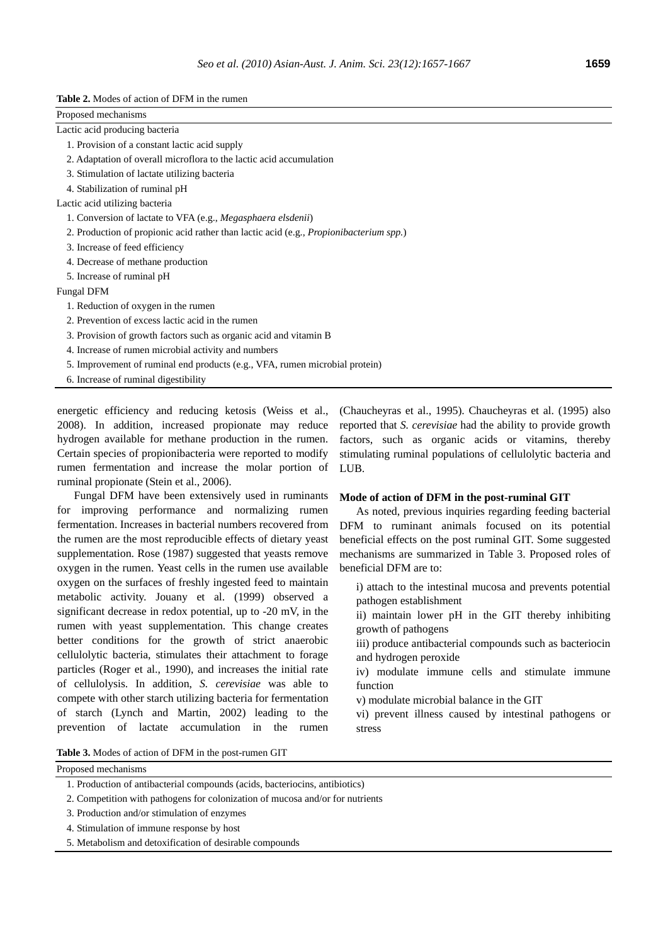|  | <b>Table 2.</b> Modes of action of DFM in the rumen |
|--|-----------------------------------------------------|
|--|-----------------------------------------------------|

| Proposed mechanisms                                                                                                 |
|---------------------------------------------------------------------------------------------------------------------|
| Lactic acid producing bacteria                                                                                      |
| 1. Provision of a constant lactic acid supply                                                                       |
| 2. Adaptation of overall microflora to the lactic acid accumulation                                                 |
| 3. Stimulation of lactate utilizing bacteria                                                                        |
| 4. Stabilization of ruminal pH                                                                                      |
| Lactic acid utilizing bacteria                                                                                      |
| 1. Conversion of lactate to VFA (e.g., Megasphaera elsdenii)                                                        |
| 2. Production of propionic acid rather than lactic acid (e.g., <i>Propionibacterium spp.</i> )                      |
| 3. Increase of feed efficiency                                                                                      |
| 4. Decrease of methane production                                                                                   |
| 5. Increase of ruminal pH                                                                                           |
| Fungal DFM                                                                                                          |
| 1. Reduction of oxygen in the rumen                                                                                 |
| 2. Prevention of excess lactic acid in the rumen                                                                    |
| 3. Provision of growth factors such as organic acid and vitamin B                                                   |
| 4. Increase of rumen microbial activity and numbers                                                                 |
| 5. Improvement of ruminal end products (e.g., VFA, rumen microbial protein)                                         |
| 6. Increase of ruminal digestibility                                                                                |
| energetic efficiency and reducing ketosis (Weiss et al., (Chaucheyras et al., 1995). Chaucheyras et al. (1995) also |
| 2008) In addition increased propionate may reduce reported that S cerevisiae had the ability to provide growth      |

2008). In addition, increased propionate may reduce hydrogen available for methane production in the rumen. Certain species of propionibacteria were reported to modify rumen fermentation and increase the molar portion of ruminal propionate (Stein et al., 2006).

Fungal DFM have been extensively used in ruminants for improving performance and normalizing rumen fermentation. Increases in bacterial numbers recovered from the rumen are the most reproducible effects of dietary yeast supplementation. Rose (1987) suggested that yeasts remove oxygen in the rumen. Yeast cells in the rumen use available oxygen on the surfaces of freshly ingested feed to maintain metabolic activity. Jouany et al. (1999) observed a significant decrease in redox potential, up to -20 mV, in the rumen with yeast supplementation. This change creates better conditions for the growth of strict anaerobic cellulolytic bacteria, stimulates their attachment to forage particles (Roger et al., 1990), and increases the initial rate of cellulolysis. In addition, *S. cerevisiae* was able to compete with other starch utilizing bacteria for fermentation of starch (Lynch and Martin, 2002) leading to the prevention of lactate accumulation in the rumen

reported that *S. cerevisiae* had the ability to provide growth factors, such as organic acids or vitamins, thereby stimulating ruminal populations of cellulolytic bacteria and LUB.

## **Mode of action of DFM in the post-ruminal GIT**

As noted, previous inquiries regarding feeding bacterial DFM to ruminant animals focused on its potential beneficial effects on the post ruminal GIT. Some suggested mechanisms are summarized in Table 3. Proposed roles of beneficial DFM are to:

i) attach to the intestinal mucosa and prevents potential pathogen establishment

ii) maintain lower pH in the GIT thereby inhibiting growth of pathogens

iii) produce antibacterial compounds such as bacteriocin and hydrogen peroxide

iv) modulate immune cells and stimulate immune function

v) modulate microbial balance in the GIT

vi) prevent illness caused by intestinal pathogens or stress

**Table 3.** Modes of action of DFM in the post-rumen GIT

- 1. Production of antibacterial compounds (acids, bacteriocins, antibiotics)
- 2. Competition with pathogens for colonization of mucosa and/or for nutrients
- 3. Production and/or stimulation of enzymes
- 4. Stimulation of immune response by host
- 5. Metabolism and detoxification of desirable compounds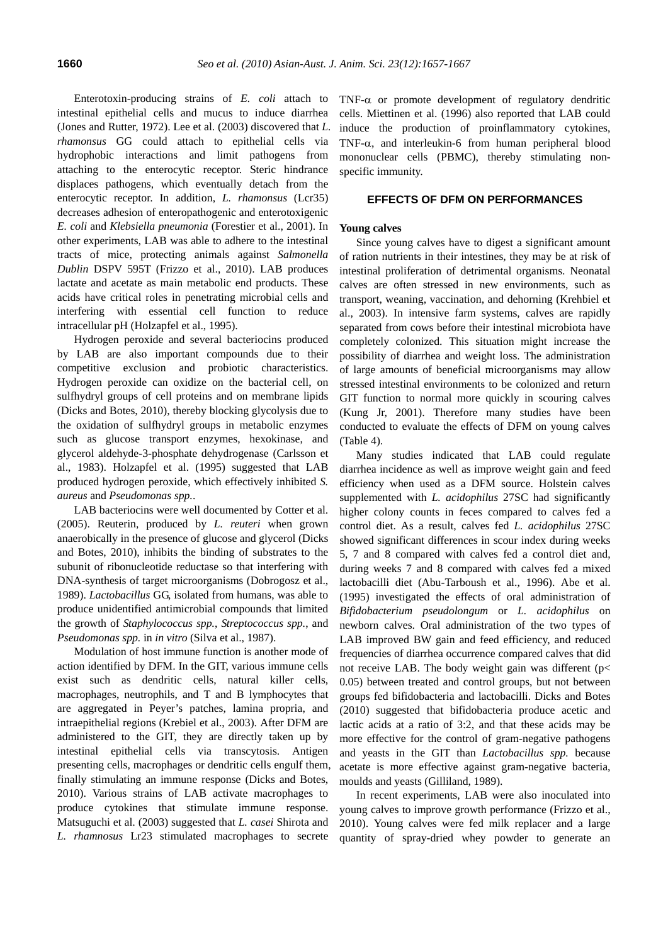Enterotoxin-producing strains of *E. coli* attach to intestinal epithelial cells and mucus to induce diarrhea (Jones and Rutter, 1972). Lee et al. (2003) discovered that *L. rhamonsus* GG could attach to epithelial cells via hydrophobic interactions and limit pathogens from attaching to the enterocytic receptor. Steric hindrance displaces pathogens, which eventually detach from the enterocytic receptor. In addition, *L. rhamonsus* (Lcr35) decreases adhesion of enteropathogenic and enterotoxigenic *E. coli* and *Klebsiella pneumonia* (Forestier et al., 2001). In other experiments, LAB was able to adhere to the intestinal tracts of mice, protecting animals against *Salmonella Dublin* DSPV 595T (Frizzo et al., 2010). LAB produces lactate and acetate as main metabolic end products. These acids have critical roles in penetrating microbial cells and interfering with essential cell function to reduce intracellular pH (Holzapfel et al., 1995).

Hydrogen peroxide and several bacteriocins produced by LAB are also important compounds due to their competitive exclusion and probiotic characteristics. Hydrogen peroxide can oxidize on the bacterial cell, on sulfhydryl groups of cell proteins and on membrane lipids (Dicks and Botes, 2010), thereby blocking glycolysis due to the oxidation of sulfhydryl groups in metabolic enzymes such as glucose transport enzymes, hexokinase, and glycerol aldehyde-3-phosphate dehydrogenase (Carlsson et al., 1983). Holzapfel et al. (1995) suggested that LAB produced hydrogen peroxide, which effectively inhibited *S. aureus* and *Pseudomonas spp.*.

LAB bacteriocins were well documented by Cotter et al. (2005). Reuterin, produced by *L. reuteri* when grown anaerobically in the presence of glucose and glycerol (Dicks and Botes, 2010), inhibits the binding of substrates to the subunit of ribonucleotide reductase so that interfering with DNA-synthesis of target microorganisms (Dobrogosz et al., 1989). *Lactobacillus* GG, isolated from humans, was able to produce unidentified antimicrobial compounds that limited the growth of *Staphylococcus spp.*, *Streptococcus spp.*, and *Pseudomonas spp.* in *in vitro* (Silva et al., 1987).

Modulation of host immune function is another mode of action identified by DFM. In the GIT, various immune cells exist such as dendritic cells, natural killer cells, macrophages, neutrophils, and T and B lymphocytes that are aggregated in Peyer's patches, lamina propria, and intraepithelial regions (Krebiel et al., 2003). After DFM are administered to the GIT, they are directly taken up by intestinal epithelial cells via transcytosis. Antigen presenting cells, macrophages or dendritic cells engulf them, finally stimulating an immune response (Dicks and Botes, 2010). Various strains of LAB activate macrophages to produce cytokines that stimulate immune response. Matsuguchi et al. (2003) suggested that *L. casei* Shirota and *L. rhamnosus* Lr23 stimulated macrophages to secrete

TNF- $\alpha$  or promote development of regulatory dendritic cells. Miettinen et al. (1996) also reported that LAB could induce the production of proinflammatory cytokines, TNF- $\alpha$ , and interleukin-6 from human peripheral blood mononuclear cells (PBMC), thereby stimulating nonspecific immunity.

## **EFFECTS OF DFM ON PERFORMANCES**

#### **Young calves**

Since young calves have to digest a significant amount of ration nutrients in their intestines, they may be at risk of intestinal proliferation of detrimental organisms. Neonatal calves are often stressed in new environments, such as transport, weaning, vaccination, and dehorning (Krehbiel et al., 2003). In intensive farm systems, calves are rapidly separated from cows before their intestinal microbiota have completely colonized. This situation might increase the possibility of diarrhea and weight loss. The administration of large amounts of beneficial microorganisms may allow stressed intestinal environments to be colonized and return GIT function to normal more quickly in scouring calves (Kung Jr, 2001). Therefore many studies have been conducted to evaluate the effects of DFM on young calves (Table 4).

Many studies indicated that LAB could regulate diarrhea incidence as well as improve weight gain and feed efficiency when used as a DFM source. Holstein calves supplemented with *L. acidophilus* 27SC had significantly higher colony counts in feces compared to calves fed a control diet. As a result, calves fed *L. acidophilus* 27SC showed significant differences in scour index during weeks 5, 7 and 8 compared with calves fed a control diet and, during weeks 7 and 8 compared with calves fed a mixed lactobacilli diet (Abu-Tarboush et al., 1996). Abe et al. (1995) investigated the effects of oral administration of *Bifidobacterium pseudolongum* or *L. acidophilus* on newborn calves. Oral administration of the two types of LAB improved BW gain and feed efficiency, and reduced frequencies of diarrhea occurrence compared calves that did not receive LAB. The body weight gain was different (p< 0.05) between treated and control groups, but not between groups fed bifidobacteria and lactobacilli. Dicks and Botes (2010) suggested that bifidobacteria produce acetic and lactic acids at a ratio of 3:2, and that these acids may be more effective for the control of gram-negative pathogens and yeasts in the GIT than *Lactobacillus spp.* because acetate is more effective against gram-negative bacteria, moulds and yeasts (Gilliland, 1989).

In recent experiments, LAB were also inoculated into young calves to improve growth performance (Frizzo et al., 2010). Young calves were fed milk replacer and a large quantity of spray-dried whey powder to generate an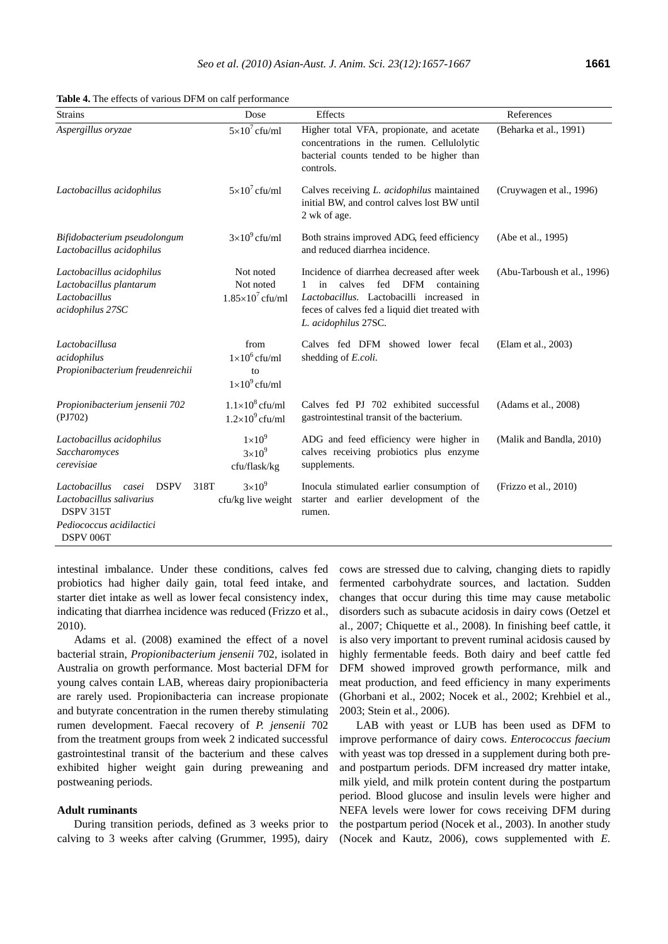| <b>Table 4.</b> The effects of various DFM on calf performance |  |  |
|----------------------------------------------------------------|--|--|
|----------------------------------------------------------------|--|--|

| <b>Strains</b>                                                                                                          | Dose                                                       | Effects                                                                                                                                                                                                                  | References                  |
|-------------------------------------------------------------------------------------------------------------------------|------------------------------------------------------------|--------------------------------------------------------------------------------------------------------------------------------------------------------------------------------------------------------------------------|-----------------------------|
| Aspergillus oryzae                                                                                                      | $5\times10^7$ cfu/ml                                       | Higher total VFA, propionate, and acetate<br>concentrations in the rumen. Cellulolytic<br>bacterial counts tended to be higher than<br>controls.                                                                         | (Beharka et al., 1991)      |
| Lactobacillus acidophilus                                                                                               | $5\times10^7$ cfu/ml                                       | Calves receiving L. acidophilus maintained<br>initial BW, and control calves lost BW until<br>2 wk of age.                                                                                                               | (Cruywagen et al., 1996)    |
| Bifidobacterium pseudolongum<br>Lactobacillus acidophilus                                                               | $3\times10^9$ cfu/ml                                       | Both strains improved ADG, feed efficiency<br>and reduced diarrhea incidence.                                                                                                                                            | (Abe et al., 1995)          |
| Lactobacillus acidophilus<br>Lactobacillus plantarum<br>Lactobacillus<br>acidophilus 27SC                               | Not noted<br>Not noted<br>$1.85\times10^7$ cfu/ml          | Incidence of diarrhea decreased after week<br>calves<br>fed<br><b>DFM</b><br>1<br>containing<br>in<br>Lactobacillus. Lactobacilli increased in<br>feces of calves fed a liquid diet treated with<br>L. acidophilus 27SC. | (Abu-Tarboush et al., 1996) |
| Lactobacillusa<br>acidophilus<br>Propionibacterium freudenreichii                                                       | from<br>$1\times10^6$ cfu/ml<br>to<br>$1\times10^9$ cfu/ml | Calves fed DFM showed lower fecal<br>shedding of E.coli.                                                                                                                                                                 | (Elam et al., 2003)         |
| Propionibacterium jensenii 702<br>(PI702)                                                                               | $1.1\times10^8$ cfu/ml<br>$1.2\times10^{9}$ cfu/ml         | Calves fed PJ 702 exhibited successful<br>gastrointestinal transit of the bacterium.                                                                                                                                     | (Adams et al., 2008)        |
| Lactobacillus acidophilus<br>Saccharomyces<br>cerevisiae                                                                | $1\times10^9$<br>$3\times10^9$<br>cfu/flask/kg             | ADG and feed efficiency were higher in<br>calves receiving probiotics plus enzyme<br>supplements.                                                                                                                        | (Malik and Bandla, 2010)    |
| <b>DSPV</b><br>Lactobacillus<br>casei<br>Lactobacillus salivarius<br>DSPV 315T<br>Pediococcus acidilactici<br>DSPV 006T | $3\times10^9$<br>318T<br>cfu/kg live weight                | Inocula stimulated earlier consumption of<br>starter and earlier development of the<br>rumen.                                                                                                                            | (Frizzo et al., 2010)       |

intestinal imbalance. Under these conditions, calves fed probiotics had higher daily gain, total feed intake, and starter diet intake as well as lower fecal consistency index, indicating that diarrhea incidence was reduced (Frizzo et al., 2010).

Adams et al. (2008) examined the effect of a novel bacterial strain, *Propionibacterium jensenii* 702, isolated in Australia on growth performance. Most bacterial DFM for young calves contain LAB, whereas dairy propionibacteria are rarely used. Propionibacteria can increase propionate and butyrate concentration in the rumen thereby stimulating rumen development. Faecal recovery of *P. jensenii* 702 from the treatment groups from week 2 indicated successful gastrointestinal transit of the bacterium and these calves exhibited higher weight gain during preweaning and postweaning periods.

## **Adult ruminants**

During transition periods, defined as 3 weeks prior to calving to 3 weeks after calving (Grummer, 1995), dairy

cows are stressed due to calving, changing diets to rapidly fermented carbohydrate sources, and lactation. Sudden changes that occur during this time may cause metabolic disorders such as subacute acidosis in dairy cows (Oetzel et al., 2007; Chiquette et al., 2008). In finishing beef cattle, it is also very important to prevent ruminal acidosis caused by highly fermentable feeds. Both dairy and beef cattle fed DFM showed improved growth performance, milk and meat production, and feed efficiency in many experiments (Ghorbani et al., 2002; Nocek et al., 2002; Krehbiel et al., 2003; Stein et al., 2006).

LAB with yeast or LUB has been used as DFM to improve performance of dairy cows. *Enterococcus faecium* with yeast was top dressed in a supplement during both preand postpartum periods. DFM increased dry matter intake, milk yield, and milk protein content during the postpartum period. Blood glucose and insulin levels were higher and NEFA levels were lower for cows receiving DFM during the postpartum period (Nocek et al., 2003). In another study (Nocek and Kautz, 2006), cows supplemented with *E.*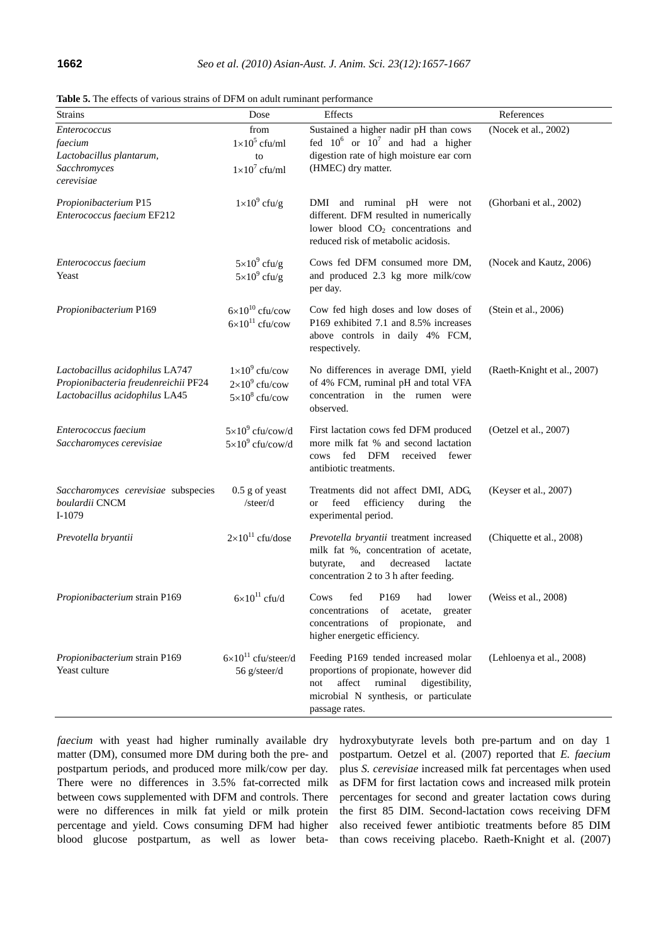| Strains                                                                                                   | Dose                                                                    | Effects                                                                                                                                                                                | References                  |
|-----------------------------------------------------------------------------------------------------------|-------------------------------------------------------------------------|----------------------------------------------------------------------------------------------------------------------------------------------------------------------------------------|-----------------------------|
| <i>Enterococcus</i><br>faecium<br>Lactobacillus plantarum,<br>Sacchromyces<br>cerevisiae                  | from<br>$1\times10^5$ cfu/ml<br>to<br>$1\times10^7$ cfu/ml              | Sustained a higher nadir pH than cows<br>fed $10^6$ or $10^7$ and had a higher<br>digestion rate of high moisture ear corn<br>(HMEC) dry matter.                                       | (Nocek et al., 2002)        |
| Propionibacterium P15<br>Enterococcus faecium EF212                                                       | $1 \times 10^9$ cfu/g                                                   | DMI and ruminal pH were not<br>different. DFM resulted in numerically<br>lower blood CO <sub>2</sub> concentrations and<br>reduced risk of metabolic acidosis.                         | (Ghorbani et al., 2002)     |
| Enterococcus faecium<br>Yeast                                                                             | $5 \times 10^9$ cfu/g<br>$5 \times 10^9$ cfu/g                          | Cows fed DFM consumed more DM,<br>and produced 2.3 kg more milk/cow<br>per day.                                                                                                        | (Nocek and Kautz, 2006)     |
| Propionibacterium P169                                                                                    | $6\times10^{10}$ cfu/cow<br>$6\times10^{11}$ cfu/cow                    | Cow fed high doses and low doses of<br>P169 exhibited 7.1 and 8.5% increases<br>above controls in daily 4% FCM,<br>respectively.                                                       | (Stein et al., 2006)        |
| Lactobacillus acidophilus LA747<br>Propionibacteria freudenreichii PF24<br>Lactobacillus acidophilus LA45 | $1\times10^9$ cfu/cow<br>$2\times10^9$ cfu/cow<br>$5\times10^8$ cfu/cow | No differences in average DMI, yield<br>of 4% FCM, ruminal pH and total VFA<br>concentration in the rumen were<br>observed.                                                            | (Raeth-Knight et al., 2007) |
| Enterococcus faecium<br>Saccharomyces cerevisiae                                                          | $5\times10^9$ cfu/cow/d<br>$5\times10^9$ cfu/cow/d                      | First lactation cows fed DFM produced<br>more milk fat % and second lactation<br>fed DFM<br>received<br>fewer<br>cows<br>antibiotic treatments.                                        | (Oetzel et al., 2007)       |
| Saccharomyces cerevisiae subspecies<br>boulardii CNCM<br>$I-1079$                                         | $0.5$ g of yeast<br>/steer/d                                            | Treatments did not affect DMI, ADG,<br>feed<br>efficiency<br>during<br><b>or</b><br>the<br>experimental period.                                                                        | (Keyser et al., 2007)       |
| Prevotella bryantii                                                                                       | $2\times10^{11}$ cfu/dose                                               | Prevotella bryantii treatment increased<br>milk fat %, concentration of acetate,<br>butyrate,<br>and<br>decreased<br>lactate<br>concentration 2 to 3 h after feeding.                  | (Chiquette et al., 2008)    |
| Propionibacterium strain P169                                                                             | $6\times10^{11}$ cfu/d                                                  | Cows<br>fed<br>P <sub>169</sub><br>had<br>lower<br>concentrations<br>acetate,<br>greater<br>of<br>of<br>propionate,<br>concentrations<br>and<br>higher energetic efficiency.           | (Weiss et al., 2008)        |
| Propionibacterium strain P169<br>Yeast culture                                                            | $6\times10^{11}$ cfu/steer/d<br>56 g/steer/d                            | Feeding P169 tended increased molar<br>proportions of propionate, however did<br>affect<br>ruminal<br>digestibility,<br>not<br>microbial N synthesis, or particulate<br>passage rates. | (Lehloenya et al., 2008)    |

**Table 5.** The effects of various strains of DFM on adult ruminant performance

*faecium* with yeast had higher ruminally available dry matter (DM), consumed more DM during both the pre- and postpartum periods, and produced more milk/cow per day. There were no differences in 3.5% fat-corrected milk between cows supplemented with DFM and controls. There were no differences in milk fat yield or milk protein percentage and yield. Cows consuming DFM had higher blood glucose postpartum, as well as lower betahydroxybutyrate levels both pre-partum and on day 1 postpartum. Oetzel et al. (2007) reported that *E. faecium* plus *S. cerevisiae* increased milk fat percentages when used as DFM for first lactation cows and increased milk protein percentages for second and greater lactation cows during the first 85 DIM. Second-lactation cows receiving DFM also received fewer antibiotic treatments before 85 DIM than cows receiving placebo. Raeth-Knight et al. (2007)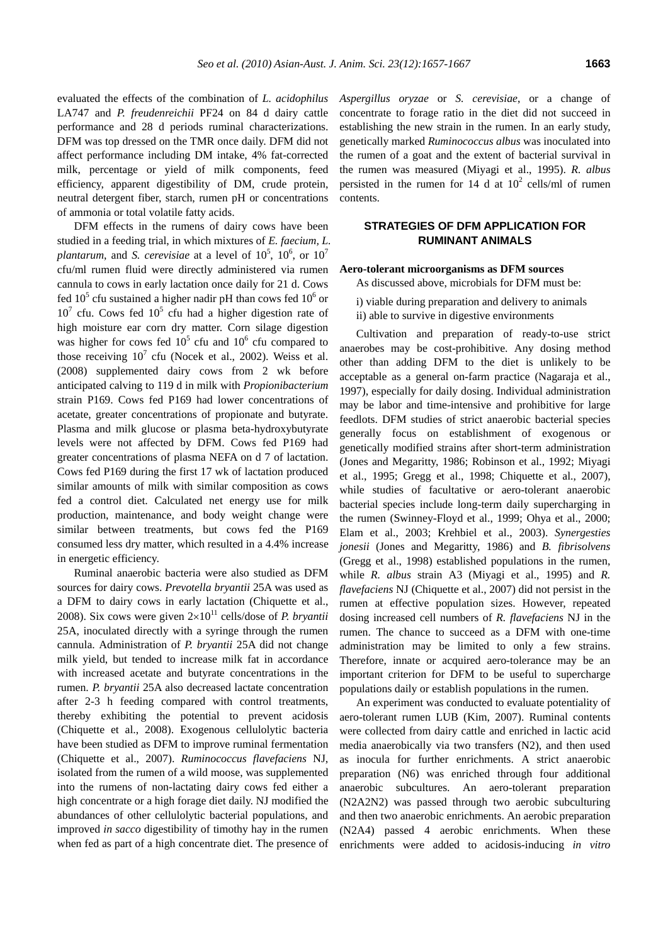evaluated the effects of the combination of *L. acidophilus* LA747 and *P. freudenreichii* PF24 on 84 d dairy cattle performance and 28 d periods ruminal characterizations. DFM was top dressed on the TMR once daily. DFM did not affect performance including DM intake, 4% fat-corrected milk, percentage or yield of milk components, feed efficiency, apparent digestibility of DM, crude protein, neutral detergent fiber, starch, rumen pH or concentrations of ammonia or total volatile fatty acids.

DFM effects in the rumens of dairy cows have been studied in a feeding trial, in which mixtures of *E. faecium, L. plantarum*, and *S. cerevisiae* at a level of  $10^5$ ,  $10^6$ , or  $10^7$ cfu/ml rumen fluid were directly administered via rumen cannula to cows in early lactation once daily for 21 d. Cows fed  $10^5$  cfu sustained a higher nadir pH than cows fed  $10^6$  or  $10<sup>7</sup>$  cfu. Cows fed  $10<sup>5</sup>$  cfu had a higher digestion rate of high moisture ear corn dry matter. Corn silage digestion was higher for cows fed  $10^5$  cfu and  $10^6$  cfu compared to those receiving  $10^7$  cfu (Nocek et al., 2002). Weiss et al. (2008) supplemented dairy cows from 2 wk before anticipated calving to 119 d in milk with *Propionibacterium* strain P169. Cows fed P169 had lower concentrations of acetate, greater concentrations of propionate and butyrate. Plasma and milk glucose or plasma beta-hydroxybutyrate levels were not affected by DFM. Cows fed P169 had greater concentrations of plasma NEFA on d 7 of lactation. Cows fed P169 during the first 17 wk of lactation produced similar amounts of milk with similar composition as cows fed a control diet. Calculated net energy use for milk production, maintenance, and body weight change were similar between treatments, but cows fed the P169 consumed less dry matter, which resulted in a 4.4% increase in energetic efficiency.

Ruminal anaerobic bacteria were also studied as DFM sources for dairy cows. *Prevotella bryantii* 25A was used as a DFM to dairy cows in early lactation (Chiquette et al., 2008). Six cows were given  $2\times10^{11}$  cells/dose of *P. bryantii* 25A, inoculated directly with a syringe through the rumen cannula. Administration of *P. bryantii* 25A did not change milk yield, but tended to increase milk fat in accordance with increased acetate and butyrate concentrations in the rumen. *P. bryantii* 25A also decreased lactate concentration after 2-3 h feeding compared with control treatments, thereby exhibiting the potential to prevent acidosis (Chiquette et al., 2008). Exogenous cellulolytic bacteria have been studied as DFM to improve ruminal fermentation (Chiquette et al., 2007). *Ruminococcus flavefaciens* NJ, isolated from the rumen of a wild moose, was supplemented into the rumens of non-lactating dairy cows fed either a high concentrate or a high forage diet daily. NJ modified the abundances of other cellulolytic bacterial populations, and improved *in sacco* digestibility of timothy hay in the rumen when fed as part of a high concentrate diet. The presence of *Aspergillus oryzae* or *S. cerevisiae*, or a change of concentrate to forage ratio in the diet did not succeed in establishing the new strain in the rumen. In an early study, genetically marked *Ruminococcus albus* was inoculated into the rumen of a goat and the extent of bacterial survival in the rumen was measured (Miyagi et al., 1995). *R. albus*  persisted in the rumen for 14 d at  $10^2$  cells/ml of rumen contents.

# **STRATEGIES OF DFM APPLICATION FOR RUMINANT ANIMALS**

#### **Aero-tolerant microorganisms as DFM sources**

As discussed above, microbials for DFM must be:

i) viable during preparation and delivery to animals

ii) able to survive in digestive environments

Cultivation and preparation of ready-to-use strict anaerobes may be cost-prohibitive. Any dosing method other than adding DFM to the diet is unlikely to be acceptable as a general on-farm practice (Nagaraja et al., 1997), especially for daily dosing. Individual administration may be labor and time-intensive and prohibitive for large feedlots. DFM studies of strict anaerobic bacterial species generally focus on establishment of exogenous or genetically modified strains after short-term administration (Jones and Megaritty, 1986; Robinson et al., 1992; Miyagi et al., 1995; Gregg et al., 1998; Chiquette et al., 2007), while studies of facultative or aero-tolerant anaerobic bacterial species include long-term daily supercharging in the rumen (Swinney-Floyd et al., 1999; Ohya et al., 2000; Elam et al., 2003; Krehbiel et al., 2003). *Synergesties jonesii* (Jones and Megaritty, 1986) and *B. fibrisolvens*  (Gregg et al., 1998) established populations in the rumen, while *R. albus* strain A3 (Miyagi et al., 1995) and *R. flavefaciens* NJ (Chiquette et al., 2007) did not persist in the rumen at effective population sizes. However, repeated dosing increased cell numbers of *R. flavefaciens* NJ in the rumen. The chance to succeed as a DFM with one-time administration may be limited to only a few strains. Therefore, innate or acquired aero-tolerance may be an important criterion for DFM to be useful to supercharge populations daily or establish populations in the rumen.

An experiment was conducted to evaluate potentiality of aero-tolerant rumen LUB (Kim, 2007). Ruminal contents were collected from dairy cattle and enriched in lactic acid media anaerobically via two transfers (N2), and then used as inocula for further enrichments. A strict anaerobic preparation (N6) was enriched through four additional anaerobic subcultures. An aero-tolerant preparation (N2A2N2) was passed through two aerobic subculturing and then two anaerobic enrichments. An aerobic preparation (N2A4) passed 4 aerobic enrichments. When these enrichments were added to acidosis-inducing *in vitro*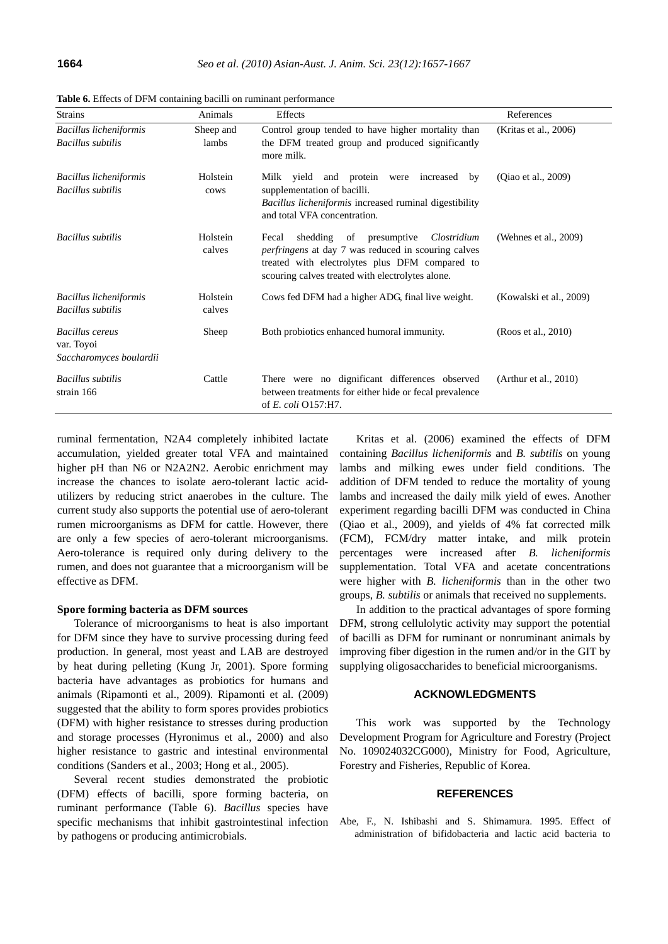| <b>Strains</b>                                                  | Animals            | Effects                                                                                                                                                                                                            | References               |
|-----------------------------------------------------------------|--------------------|--------------------------------------------------------------------------------------------------------------------------------------------------------------------------------------------------------------------|--------------------------|
| <b>Bacillus licheniformis</b><br><b>Bacillus</b> subtilis       | Sheep and<br>lambs | Control group tended to have higher mortality than<br>the DFM treated group and produced significantly<br>more milk.                                                                                               | (Kritas et al., 2006)    |
| <b>Bacillus licheniformis</b><br><b>Bacillus</b> subtilis       | Holstein<br>cows   | Milk yield and protein were increased by<br>supplementation of bacilli.<br><i>Bacillus licheniformis</i> increased ruminal digestibility<br>and total VFA concentration.                                           | (Qiao et al., 2009)      |
| <b>Bacillus</b> subtilis                                        | Holstein<br>calves | shedding<br>presumptive<br>Clostridium<br>of<br>Fecal<br>perfringens at day 7 was reduced in scouring calves<br>treated with electrolytes plus DFM compared to<br>scouring calves treated with electrolytes alone. | (Wehnes et al., 2009)    |
| <b>Bacillus licheniformis</b><br><b>Bacillus</b> subtilis       | Holstein<br>calves | Cows fed DFM had a higher ADG, final live weight.                                                                                                                                                                  | (Kowalski et al., 2009)  |
| <b>Bacillus</b> cereus<br>var. Toyoi<br>Saccharomyces boulardii | Sheep              | Both probiotics enhanced humoral immunity.                                                                                                                                                                         | (Roos et al., 2010)      |
| <b>Bacillus</b> subtilis<br>strain 166                          | Cattle             | There were no dignificant differences observed<br>between treatments for either hide or fecal prevalence<br>of E. coli O157:H7.                                                                                    | $(A$ rthur et al., 2010) |

**Table 6.** Effects of DFM containing bacilli on ruminant performance

ruminal fermentation, N2A4 completely inhibited lactate accumulation, yielded greater total VFA and maintained higher pH than N6 or N2A2N2. Aerobic enrichment may increase the chances to isolate aero-tolerant lactic acidutilizers by reducing strict anaerobes in the culture. The current study also supports the potential use of aero-tolerant rumen microorganisms as DFM for cattle. However, there are only a few species of aero-tolerant microorganisms. Aero-tolerance is required only during delivery to the rumen, and does not guarantee that a microorganism will be effective as DFM.

#### **Spore forming bacteria as DFM sources**

Tolerance of microorganisms to heat is also important for DFM since they have to survive processing during feed production. In general, most yeast and LAB are destroyed by heat during pelleting (Kung Jr, 2001). Spore forming bacteria have advantages as probiotics for humans and animals (Ripamonti et al., 2009). Ripamonti et al. (2009) suggested that the ability to form spores provides probiotics (DFM) with higher resistance to stresses during production and storage processes (Hyronimus et al., 2000) and also higher resistance to gastric and intestinal environmental conditions (Sanders et al., 2003; Hong et al., 2005).

Several recent studies demonstrated the probiotic (DFM) effects of bacilli, spore forming bacteria, on ruminant performance (Table 6). *Bacillus* species have specific mechanisms that inhibit gastrointestinal infection by pathogens or producing antimicrobials.

Kritas et al. (2006) examined the effects of DFM containing *Bacillus licheniformis* and *B. subtilis* on young lambs and milking ewes under field conditions. The addition of DFM tended to reduce the mortality of young lambs and increased the daily milk yield of ewes. Another experiment regarding bacilli DFM was conducted in China (Qiao et al., 2009), and yields of 4% fat corrected milk (FCM), FCM/dry matter intake, and milk protein percentages were increased after *B. licheniformis* supplementation. Total VFA and acetate concentrations were higher with *B. licheniformis* than in the other two groups, *B. subtilis* or animals that received no supplements.

In addition to the practical advantages of spore forming DFM, strong cellulolytic activity may support the potential of bacilli as DFM for ruminant or nonruminant animals by improving fiber digestion in the rumen and/or in the GIT by supplying oligosaccharides to beneficial microorganisms.

#### **ACKNOWLEDGMENTS**

This work was supported by the Technology Development Program for Agriculture and Forestry (Project No. 109024032CG000), Ministry for Food, Agriculture, Forestry and Fisheries, Republic of Korea.

#### **REFERENCES**

Abe, F., N. Ishibashi and S. Shimamura. 1995. Effect of administration of bifidobacteria and lactic acid bacteria to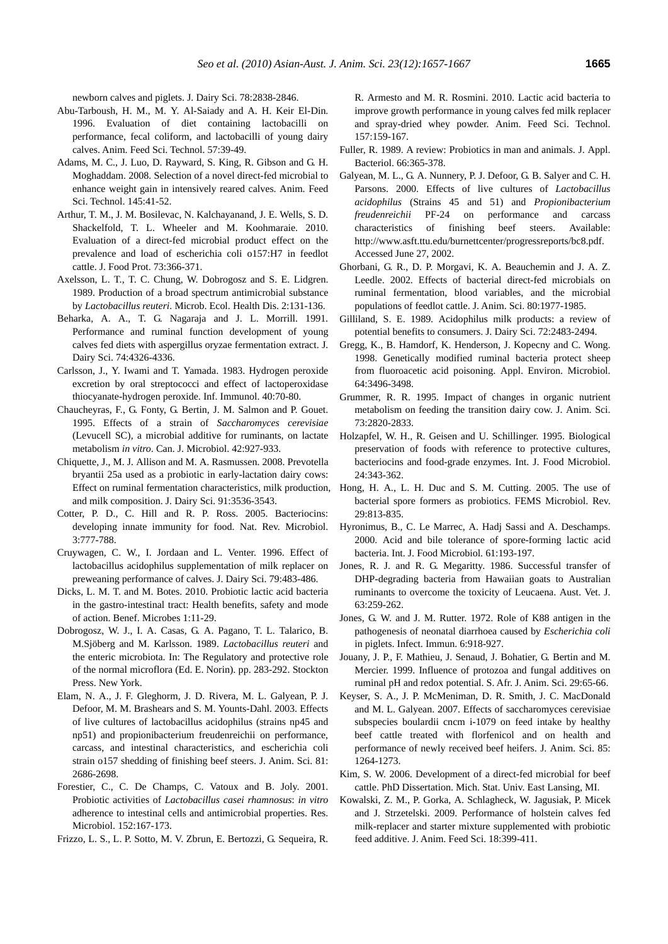newborn calves and piglets. J. Dairy Sci. 78:2838-2846.

- Abu-Tarboush, H. M., M. Y. Al-Saiady and A. H. Keir El-Din. 1996. Evaluation of diet containing lactobacilli on performance, fecal coliform, and lactobacilli of young dairy calves. Anim. Feed Sci. Technol. 57:39-49.
- Adams, M. C., J. Luo, D. Rayward, S. King, R. Gibson and G. H. Moghaddam. 2008. Selection of a novel direct-fed microbial to enhance weight gain in intensively reared calves. Anim. Feed Sci. Technol. 145:41-52.
- Arthur, T. M., J. M. Bosilevac, N. Kalchayanand, J. E. Wells, S. D. Shackelfold, T. L. Wheeler and M. Koohmaraie. 2010. Evaluation of a direct-fed microbial product effect on the prevalence and load of escherichia coli o157:H7 in feedlot cattle. J. Food Prot. 73:366-371.
- Axelsson, L. T., T. C. Chung, W. Dobrogosz and S. E. Lidgren. 1989. Production of a broad spectrum antimicrobial substance by *Lactobacillus reuteri*. Microb. Ecol. Health Dis. 2:131-136.
- Beharka, A. A., T. G. Nagaraja and J. L. Morrill. 1991. Performance and ruminal function development of young calves fed diets with aspergillus oryzae fermentation extract. J. Dairy Sci. 74:4326-4336.
- Carlsson, J., Y. Iwami and T. Yamada. 1983. Hydrogen peroxide excretion by oral streptococci and effect of lactoperoxidase thiocyanate-hydrogen peroxide. Inf. Immunol. 40:70-80.
- Chaucheyras, F., G. Fonty, G. Bertin, J. M. Salmon and P. Gouet. 1995. Effects of a strain of *Saccharomyces cerevisiae* (Levucell SC), a microbial additive for ruminants, on lactate metabolism *in vitro*. Can. J. Microbiol. 42:927-933.
- Chiquette, J., M. J. Allison and M. A. Rasmussen. 2008. Prevotella bryantii 25a used as a probiotic in early-lactation dairy cows: Effect on ruminal fermentation characteristics, milk production, and milk composition. J. Dairy Sci. 91:3536-3543.
- Cotter, P. D., C. Hill and R. P. Ross. 2005. Bacteriocins: developing innate immunity for food. Nat. Rev. Microbiol. 3:777-788.
- Cruywagen, C. W., I. Jordaan and L. Venter. 1996. Effect of lactobacillus acidophilus supplementation of milk replacer on preweaning performance of calves. J. Dairy Sci. 79:483-486.
- Dicks, L. M. T. and M. Botes. 2010. Probiotic lactic acid bacteria in the gastro-intestinal tract: Health benefits, safety and mode of action. Benef. Microbes 1:11-29.
- Dobrogosz, W. J., I. A. Casas, G. A. Pagano, T. L. Talarico, B. M.Sjöberg and M. Karlsson. 1989. *Lactobacillus reuteri* and the enteric microbiota. In: The Regulatory and protective role of the normal microflora (Ed. E. Norin). pp. 283-292. Stockton Press. New York.
- Elam, N. A., J. F. Gleghorm, J. D. Rivera, M. L. Galyean, P. J. Defoor, M. M. Brashears and S. M. Younts-Dahl. 2003. Effects of live cultures of lactobacillus acidophilus (strains np45 and np51) and propionibacterium freudenreichii on performance, carcass, and intestinal characteristics, and escherichia coli strain o157 shedding of finishing beef steers. J. Anim. Sci. 81: 2686-2698.
- Forestier, C., C. De Champs, C. Vatoux and B. Joly. 2001. Probiotic activities of *Lactobacillus casei rhamnosus*: *in vitro*  adherence to intestinal cells and antimicrobial properties. Res. Microbiol. 152:167-173.
- Frizzo, L. S., L. P. Sotto, M. V. Zbrun, E. Bertozzi, G. Sequeira, R.

R. Armesto and M. R. Rosmini. 2010. Lactic acid bacteria to improve growth performance in young calves fed milk replacer and spray-dried whey powder. Anim. Feed Sci. Technol. 157:159-167.

- Fuller, R. 1989. A review: Probiotics in man and animals. J. Appl. Bacteriol. 66:365-378.
- Galyean, M. L., G. A. Nunnery, P. J. Defoor, G. B. Salyer and C. H. Parsons. 2000. Effects of live cultures of *Lactobacillus acidophilus* (Strains 45 and 51) and *Propionibacterium freudenreichii* PF-24 on performance and carcass characteristics of finishing beef steers. Available: http://www.asft.ttu.edu/burnettcenter/progressreports/bc8.pdf. Accessed June 27, 2002.
- Ghorbani, G. R., D. P. Morgavi, K. A. Beauchemin and J. A. Z. Leedle. 2002. Effects of bacterial direct-fed microbials on ruminal fermentation, blood variables, and the microbial populations of feedlot cattle. J. Anim. Sci. 80:1977-1985.
- Gilliland, S. E. 1989. Acidophilus milk products: a review of potential benefits to consumers. J. Dairy Sci. 72:2483-2494.
- Gregg, K., B. Hamdorf, K. Henderson, J. Kopecny and C. Wong. 1998. Genetically modified ruminal bacteria protect sheep from fluoroacetic acid poisoning. Appl. Environ. Microbiol. 64:3496-3498.
- Grummer, R. R. 1995. Impact of changes in organic nutrient metabolism on feeding the transition dairy cow. J. Anim. Sci. 73:2820-2833.
- Holzapfel, W. H., R. Geisen and U. Schillinger. 1995. Biological preservation of foods with reference to protective cultures, bacteriocins and food-grade enzymes. Int. J. Food Microbiol. 24:343-362.
- Hong, H. A., L. H. Duc and S. M. Cutting. 2005. The use of bacterial spore formers as probiotics. FEMS Microbiol. Rev. 29:813-835.
- Hyronimus, B., C. Le Marrec, A. Hadj Sassi and A. Deschamps. 2000. Acid and bile tolerance of spore-forming lactic acid bacteria. Int. J. Food Microbiol. 61:193-197.
- Jones, R. J. and R. G. Megaritty. 1986. Successful transfer of DHP-degrading bacteria from Hawaiian goats to Australian ruminants to overcome the toxicity of Leucaena. Aust. Vet. J. 63:259-262.
- Jones, G. W. and J. M. Rutter. 1972. Role of K88 antigen in the pathogenesis of neonatal diarrhoea caused by *Escherichia coli*  in piglets. Infect. Immun. 6:918-927.
- Jouany, J. P., F. Mathieu, J. Senaud, J. Bohatier, G. Bertin and M. Mercier. 1999. Influence of protozoa and fungal additives on ruminal pH and redox potential. S. Afr. J. Anim. Sci. 29:65-66.
- Keyser, S. A., J. P. McMeniman, D. R. Smith, J. C. MacDonald and M. L. Galyean. 2007. Effects of saccharomyces cerevisiae subspecies boulardii cncm i-1079 on feed intake by healthy beef cattle treated with florfenicol and on health and performance of newly received beef heifers. J. Anim. Sci. 85: 1264-1273.
- Kim, S. W. 2006. Development of a direct-fed microbial for beef cattle. PhD Dissertation. Mich. Stat. Univ. East Lansing, MI.
- Kowalski, Z. M., P. Gorka, A. Schlagheck, W. Jagusiak, P. Micek and J. Strzetelski. 2009. Performance of holstein calves fed milk-replacer and starter mixture supplemented with probiotic feed additive. J. Anim. Feed Sci. 18:399-411.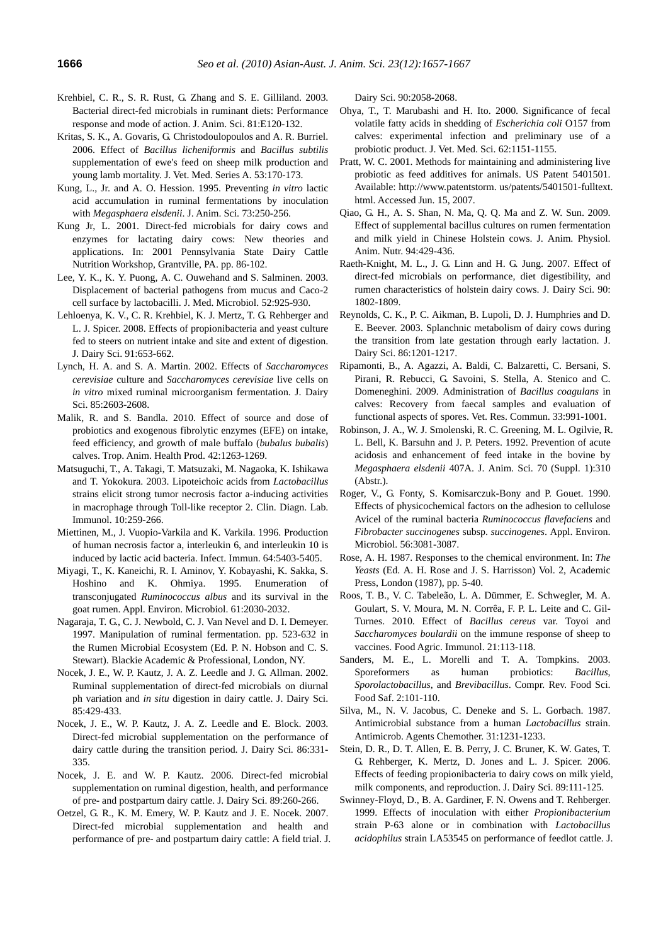- Krehbiel, C. R., S. R. Rust, G. Zhang and S. E. Gilliland. 2003. Bacterial direct-fed microbials in ruminant diets: Performance response and mode of action. J. Anim. Sci. 81:E120-132.
- Kritas, S. K., A. Govaris, G. Christodoulopoulos and A. R. Burriel. 2006. Effect of *Bacillus licheniformis* and *Bacillus subtilis* supplementation of ewe's feed on sheep milk production and young lamb mortality. J. Vet. Med. Series A. 53:170-173.
- Kung, L., Jr. and A. O. Hession. 1995. Preventing *in vitro* lactic acid accumulation in ruminal fermentations by inoculation with *Megasphaera elsdenii*. J. Anim. Sci. 73:250-256.
- Kung Jr, L. 2001. Direct-fed microbials for dairy cows and enzymes for lactating dairy cows: New theories and applications. In: 2001 Pennsylvania State Dairy Cattle Nutrition Workshop, Grantville, PA. pp. 86-102.
- Lee, Y. K., K. Y. Puong, A. C. Ouwehand and S. Salminen. 2003. Displacement of bacterial pathogens from mucus and Caco-2 cell surface by lactobacilli. J. Med. Microbiol. 52:925-930.
- Lehloenya, K. V., C. R. Krehbiel, K. J. Mertz, T. G. Rehberger and L. J. Spicer. 2008. Effects of propionibacteria and yeast culture fed to steers on nutrient intake and site and extent of digestion. J. Dairy Sci. 91:653-662.
- Lynch, H. A. and S. A. Martin. 2002. Effects of *Saccharomyces cerevisiae* culture and *Saccharomyces cerevisiae* live cells on *in vitro* mixed ruminal microorganism fermentation. J. Dairy Sci. 85:2603-2608.
- Malik, R. and S. Bandla. 2010. Effect of source and dose of probiotics and exogenous fibrolytic enzymes (EFE) on intake, feed efficiency, and growth of male buffalo (*bubalus bubalis*) calves. Trop. Anim. Health Prod. 42:1263-1269.
- Matsuguchi, T., A. Takagi, T. Matsuzaki, M. Nagaoka, K. Ishikawa and T. Yokokura. 2003. Lipoteichoic acids from *Lactobacillus*  strains elicit strong tumor necrosis factor a-inducing activities in macrophage through Toll-like receptor 2. Clin. Diagn. Lab. Immunol. 10:259-266.
- Miettinen, M., J. Vuopio-Varkila and K. Varkila. 1996. Production of human necrosis factor a, interleukin 6, and interleukin 10 is induced by lactic acid bacteria. Infect. Immun. 64:5403-5405.
- Miyagi, T., K. Kaneichi, R. I. Aminov, Y. Kobayashi, K. Sakka, S. Hoshino and K. Ohmiya. 1995. Enumeration of transconjugated *Ruminococcus albus* and its survival in the goat rumen. Appl. Environ. Microbiol. 61:2030-2032.
- Nagaraja, T. G., C. J. Newbold, C. J. Van Nevel and D. I. Demeyer. 1997. Manipulation of ruminal fermentation. pp. 523-632 in the Rumen Microbial Ecosystem (Ed. P. N. Hobson and C. S. Stewart). Blackie Academic & Professional, London, NY.
- Nocek, J. E., W. P. Kautz, J. A. Z. Leedle and J. G. Allman. 2002. Ruminal supplementation of direct-fed microbials on diurnal ph variation and *in situ* digestion in dairy cattle. J. Dairy Sci. 85:429-433.
- Nocek, J. E., W. P. Kautz, J. A. Z. Leedle and E. Block. 2003. Direct-fed microbial supplementation on the performance of dairy cattle during the transition period. J. Dairy Sci. 86:331- 335.
- Nocek, J. E. and W. P. Kautz. 2006. Direct-fed microbial supplementation on ruminal digestion, health, and performance of pre- and postpartum dairy cattle. J. Dairy Sci. 89:260-266.
- Oetzel, G. R., K. M. Emery, W. P. Kautz and J. E. Nocek. 2007. Direct-fed microbial supplementation and health and performance of pre- and postpartum dairy cattle: A field trial. J.

Dairy Sci. 90:2058-2068.

- Ohya, T., T. Marubashi and H. Ito. 2000. Significance of fecal volatile fatty acids in shedding of *Escherichia coli* O157 from calves: experimental infection and preliminary use of a probiotic product. J. Vet. Med. Sci. 62:1151-1155.
- Pratt, W. C. 2001. Methods for maintaining and administering live probiotic as feed additives for animals. US Patent 5401501. Available: http://www.patentstorm. us/patents/5401501-fulltext. html. Accessed Jun. 15, 2007.
- Qiao, G. H., A. S. Shan, N. Ma, Q. Q. Ma and Z. W. Sun. 2009. Effect of supplemental bacillus cultures on rumen fermentation and milk yield in Chinese Holstein cows. J. Anim. Physiol. Anim. Nutr. 94:429-436.
- Raeth-Knight, M. L., J. G. Linn and H. G. Jung. 2007. Effect of direct-fed microbials on performance, diet digestibility, and rumen characteristics of holstein dairy cows. J. Dairy Sci. 90: 1802-1809.
- Reynolds, C. K., P. C. Aikman, B. Lupoli, D. J. Humphries and D. E. Beever. 2003. Splanchnic metabolism of dairy cows during the transition from late gestation through early lactation. J. Dairy Sci. 86:1201-1217.
- Ripamonti, B., A. Agazzi, A. Baldi, C. Balzaretti, C. Bersani, S. Pirani, R. Rebucci, G. Savoini, S. Stella, A. Stenico and C. Domeneghini. 2009. Administration of *Bacillus coagulans* in calves: Recovery from faecal samples and evaluation of functional aspects of spores. Vet. Res. Commun. 33:991-1001.
- Robinson, J. A., W. J. Smolenski, R. C. Greening, M. L. Ogilvie, R. L. Bell, K. Barsuhn and J. P. Peters. 1992. Prevention of acute acidosis and enhancement of feed intake in the bovine by *Megasphaera elsdenii* 407A. J. Anim. Sci. 70 (Suppl. 1):310 (Abstr.).
- Roger, V., G. Fonty, S. Komisarczuk-Bony and P. Gouet. 1990. Effects of physicochemical factors on the adhesion to cellulose Avicel of the ruminal bacteria *Ruminococcus flavefaciens* and *Fibrobacter succinogenes* subsp. *succinogenes*. Appl. Environ. Microbiol. 56:3081-3087.
- Rose, A. H. 1987. Responses to the chemical environment. In: *The Yeasts* (Ed. A. H. Rose and J. S. Harrisson) Vol. 2, Academic Press, London (1987), pp. 5-40.
- Roos, T. B., V. C. Tabeleão, L. A. Dümmer, E. Schwegler, M. A. Goulart, S. V. Moura, M. N. Corrêa, F. P. L. Leite and C. Gil-Turnes. 2010. Effect of *Bacillus cereus* var. Toyoi and *Saccharomyces boulardii* on the immune response of sheep to vaccines. Food Agric. Immunol. 21:113-118.
- Sanders, M. E., L. Morelli and T. A. Tompkins. 2003. Sporeformers as human probiotics: *Bacillus*, *Sporolactobacillus*, and *Brevibacillus*. Compr. Rev. Food Sci. Food Saf. 2:101-110.
- Silva, M., N. V. Jacobus, C. Deneke and S. L. Gorbach. 1987. Antimicrobial substance from a human *Lactobacillus* strain. Antimicrob. Agents Chemother. 31:1231-1233.
- Stein, D. R., D. T. Allen, E. B. Perry, J. C. Bruner, K. W. Gates, T. G. Rehberger, K. Mertz, D. Jones and L. J. Spicer. 2006. Effects of feeding propionibacteria to dairy cows on milk yield, milk components, and reproduction. J. Dairy Sci. 89:111-125.
- Swinney-Floyd, D., B. A. Gardiner, F. N. Owens and T. Rehberger. 1999. Effects of inoculation with either *Propionibacterium* strain P-63 alone or in combination with *Lactobacillus acidophilus* strain LA53545 on performance of feedlot cattle. J.